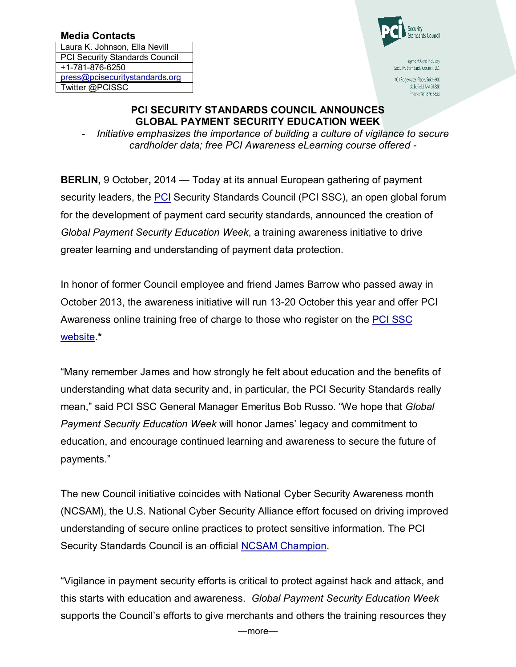## Media Contacts

Laura K. Johnson, Ella Nevill PCI Security Standards Council +1-781-876-6250 press@pcisecuritystandards.org Twitter @PCISSC



Payment Card Industry Security Standards Council, LLC

401 Edgewater Place, Suite 600 Wakefield, MA 01880 Phone 781 876 8855

## PCI SECURITY STANDARDS COUNCIL ANNOUNCES GLOBAL PAYMENT SECURITY EDUCATION WEEK

- *Initiative emphasizes the importance of building a culture of vigilance to secure cardholder data; free PCI Awareness eLearning course offered -*

BERLIN, 9 October, 2014 — Today at its annual European gathering of payment security leaders, the PCI Security Standards Council (PCI SSC), an open global forum for the development of payment card security standards, announced the creation of *Global Payment Security Education Week*, a training awareness initiative to drive greater learning and understanding of payment data protection.

In honor of former Council employee and friend James Barrow who passed away in October 2013, the awareness initiative will run 13-20 October this year and offer PCI Awareness online training free of charge to those who register on the PCI SSC website.\*

"Many remember James and how strongly he felt about education and the benefits of understanding what data security and, in particular, the PCI Security Standards really mean," said PCI SSC General Manager Emeritus Bob Russo. "We hope that *Global Payment Security Education Week* will honor James' legacy and commitment to education, and encourage continued learning and awareness to secure the future of payments."

The new Council initiative coincides with National Cyber Security Awareness month (NCSAM), the U.S. National Cyber Security Alliance effort focused on driving improved understanding of secure online practices to protect sensitive information. The PCI Security Standards Council is an official **NCSAM Champion**.

"Vigilance in payment security efforts is critical to protect against hack and attack, and this starts with education and awareness. *Global Payment Security Education Week*  supports the Council's efforts to give merchants and others the training resources they